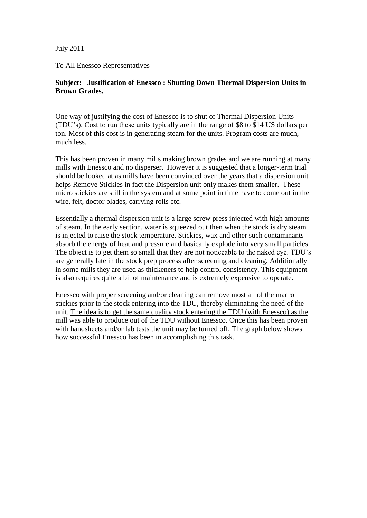July 2011

To All Enessco Representatives

# **Subject: Justification of Enessco : Shutting Down Thermal Dispersion Units in Brown Grades.**

One way of justifying the cost of Enessco is to shut of Thermal Dispersion Units (TDU's). Cost to run these units typically are in the range of \$8 to \$14 US dollars per ton. Most of this cost is in generating steam for the units. Program costs are much, much less.

This has been proven in many mills making brown grades and we are running at many mills with Enessco and no disperser. However it is suggested that a longer-term trial should be looked at as mills have been convinced over the years that a dispersion unit helps Remove Stickies in fact the Dispersion unit only makes them smaller. These micro stickies are still in the system and at some point in time have to come out in the wire, felt, doctor blades, carrying rolls etc.

Essentially a thermal dispersion unit is a large screw press injected with high amounts of steam. In the early section, water is squeezed out then when the stock is dry steam is injected to raise the stock temperature. Stickies, wax and other such contaminants absorb the energy of heat and pressure and basically explode into very small particles. The object is to get them so small that they are not noticeable to the naked eye. TDU's are generally late in the stock prep process after screening and cleaning. Additionally in some mills they are used as thickeners to help control consistency. This equipment is also requires quite a bit of maintenance and is extremely expensive to operate.

Enessco with proper screening and/or cleaning can remove most all of the macro stickies prior to the stock entering into the TDU, thereby eliminating the need of the unit. The idea is to get the same quality stock entering the TDU (with Enessco) as the mill was able to produce out of the TDU without Enessco. Once this has been proven with handsheets and/or lab tests the unit may be turned off. The graph below shows how successful Enessco has been in accomplishing this task.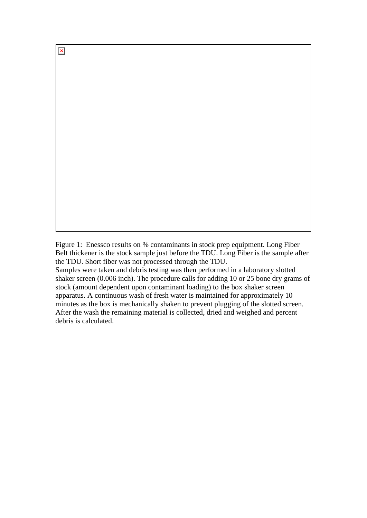$\pmb{\times}$ 

Figure 1: Enessco results on % contaminants in stock prep equipment. Long Fiber Belt thickener is the stock sample just before the TDU. Long Fiber is the sample after the TDU. Short fiber was not processed through the TDU.

Samples were taken and debris testing was then performed in a laboratory slotted shaker screen (0.006 inch). The procedure calls for adding 10 or 25 bone dry grams of stock (amount dependent upon contaminant loading) to the box shaker screen apparatus. A continuous wash of fresh water is maintained for approximately 10 minutes as the box is mechanically shaken to prevent plugging of the slotted screen. After the wash the remaining material is collected, dried and weighed and percent debris is calculated.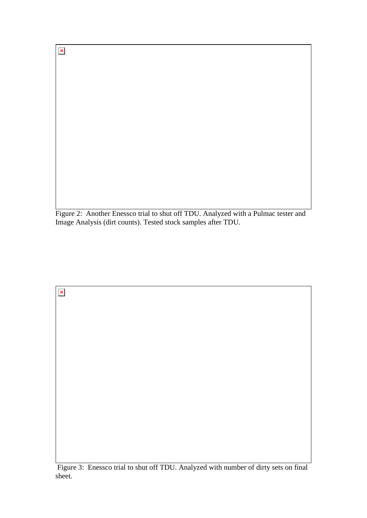$\pmb{\times}$ 

Figure 2: Another Enessco trial to shut off TDU. Analyzed with a Pulmac tester and Image Analysis (dirt counts). Tested stock samples after TDU.

 $\pmb{\times}$ 

Figure 3: Enessco trial to shut off TDU. Analyzed with number of dirty sets on final sheet.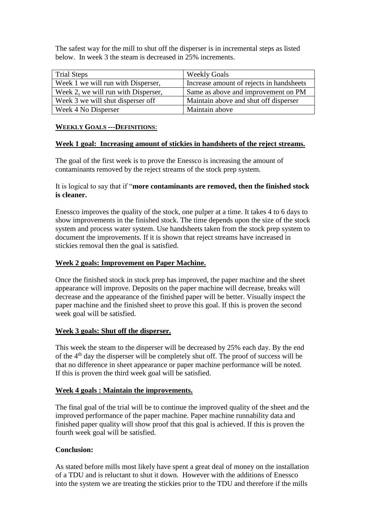The safest way for the mill to shut off the disperser is in incremental steps as listed below. In week 3 the steam is decreased in 25% increments.

| <b>Trial Steps</b>                  | <b>Weekly Goals</b>                      |
|-------------------------------------|------------------------------------------|
| Week 1 we will run with Disperser,  | Increase amount of rejects in handsheets |
| Week 2, we will run with Disperser, | Same as above and improvement on PM      |
| Week 3 we will shut disperser off   | Maintain above and shut off disperser    |
| Week 4 No Disperser                 | Maintain above                           |

### **WEEKLY GOALS ---DEFINITIONS**:

### **Week 1 goal: Increasing amount of stickies in handsheets of the reject streams.**

The goal of the first week is to prove the Enessco is increasing the amount of contaminants removed by the reject streams of the stock prep system.

# It is logical to say that if "**more contaminants are removed, then the finished stock is cleaner.**

Enessco improves the quality of the stock, one pulper at a time. It takes 4 to 6 days to show improvements in the finished stock. The time depends upon the size of the stock system and process water system. Use handsheets taken from the stock prep system to document the improvements. If it is shown that reject streams have increased in stickies removal then the goal is satisfied.

## **Week 2 goals: Improvement on Paper Machine.**

Once the finished stock in stock prep has improved, the paper machine and the sheet appearance will improve. Deposits on the paper machine will decrease, breaks will decrease and the appearance of the finished paper will be better. Visually inspect the paper machine and the finished sheet to prove this goal. If this is proven the second week goal will be satisfied.

#### **Week 3 goals: Shut off the disperser.**

This week the steam to the disperser will be decreased by 25% each day. By the end of the 4th day the disperser will be completely shut off. The proof of success will be that no difference in sheet appearance or paper machine performance will be noted. If this is proven the third week goal will be satisfied.

#### **Week 4 goals : Maintain the improvements.**

The final goal of the trial will be to continue the improved quality of the sheet and the improved performance of the paper machine. Paper machine runnability data and finished paper quality will show proof that this goal is achieved. If this is proven the fourth week goal will be satisfied.

# **Conclusion:**

As stated before mills most likely have spent a great deal of money on the installation of a TDU and is reluctant to shut it down. However with the additions of Enessco into the system we are treating the stickies prior to the TDU and therefore if the mills